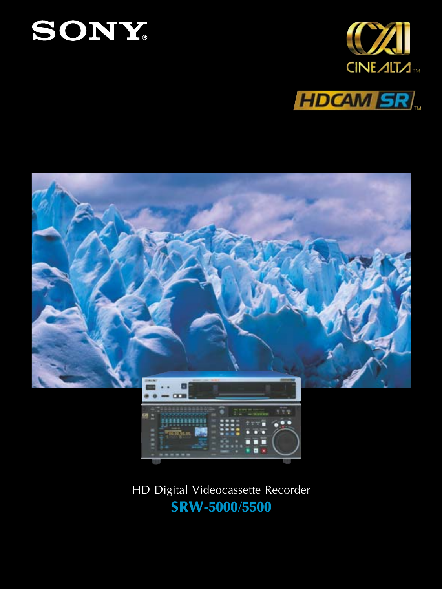







HD Digital Videocassette Recorder **SRW-5000/5500**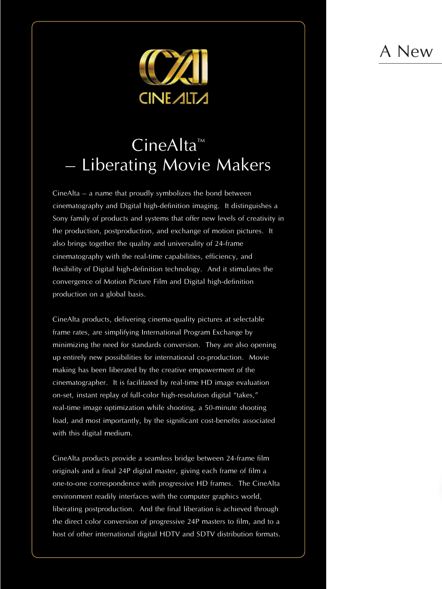## A New



## $CineAlta^m$ **Liberating Movie Makers**

CineAlta – a name that proudly symbolizes the bond between cinematography and Digital high-definition imaging. It distinguishes a Sony family of products and systems that offer new levels of creativity in the production, postproduction, and exchange of motion pictures. It also brings together the quality and universality of 24-frame cinematography with the real-time capabilities, efficiency, and flexibility of Digital high-definition technology. And it stimulates the convergence of Motion Picture Film and Digital high-definition production on a global basis.

CineAlta products, delivering cinema-quality pictures at selectable frame rates, are simplifying International Program Exchange by minimizing the need for standards conversion. They are also opening up entirely new possibilities for international co-production. Movie making has been liberated by the creative empowerment of the cinematographer. It is facilitated by real-time HD image evaluation on-set, instant replay of full-color high-resolution digital "takes," real-time image optimization while shooting, a 50-minute shooting load, and most importantly, by the significant cost-benefits associated with this digital medium.

CineAlta products provide a seamless bridge between 24-frame film originals and a final 24P digital master, giving each frame of film a one-to-one correspondence with progressive HD frames. The CineAlta environment readily interfaces with the computer graphics world, liberating postproduction. And the final liberation is achieved through the direct color conversion of progressive 24P masters to film, and to a host of other international digital HDTV and SDTV distribution formats.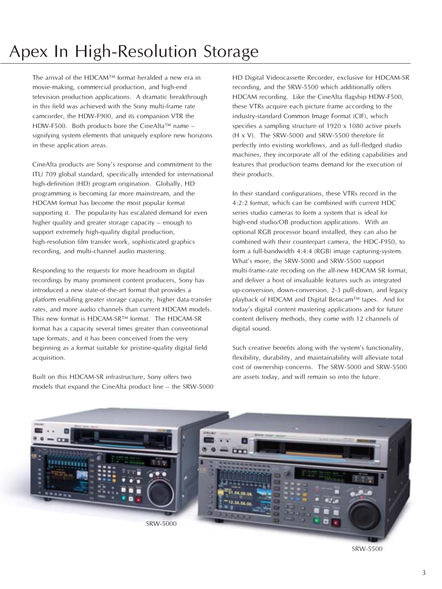# Apex In High-Resolution Storage

The arrival of the HDCAM™ format heralded a new era in movie-making, commercial production, and high-end television production applications. A dramatic breakthrough in this field was achieved with the Sony multi-frame rate camcorder, the HDW-F900, and its companion VTR the HDW-F500. Both products bore the CineAlta™ name – signifying system elements that uniquely explore new horizons in these application areas.

CineAlta products are Sony's response and commitment to the ITU 709 global standard, specifically intended for international high-definition (HD) program origination. Globally, HD programming is becoming far more mainstream, and the HDCAM format has become the most popular format supporting it. The popularity has escalated demand for even higher quality and greater storage capacity – enough to support extremely high-quality digital production, high-resolution film transfer work, sophisticated graphics recording, and multi-channel audio mastering.

Responding to the requests for more headroom in digital recordings by many prominent content producers, Sony has introduced a new state-of-the-art format that provides a platform enabling greater storage capacity, higher data-transfer rates, and more audio channels than current HDCAM models. This new format is HDCAM-SR™ format. The HDCAM-SR format has a capacity several times greater than conventional tape formats, and it has been conceived from the very beginning as a format suitable for pristine-quality digital field acquisition.

Built on this HDCAM-SR infrastructure, Sony offers two models that expand the CineAlta product line – the SRW-5000 HD Digital Videocassette Recorder, exclusive for HDCAM-SR recording, and the SRW-5500 which additionally offers HDCAM recording. Like the CineAlta flagship HDW-F500, these VTRs acquire each picture frame according to the industry-standard Common Image Format (CIF), which specifies a sampling structure of 1920 x 1080 active pixels (H x V). The SRW-5000 and SRW-5500 therefore fit perfectly into existing workflows, and as full-fledged studio machines, they incorporate all of the editing capabilities and features that production teams demand for the execution of their products.

In their standard configurations, these VTRs record in the 4:2:2 format, which can be combined with current HDC series studio cameras to form a system that is ideal for high-end studio/OB production applications. With an optional RGB processor board installed, they can also be combined with their counterpart camera, the HDC-F950, to form a full-bandwidth 4:4:4 (RGB) image capturing-system. What's more, the SRW-5000 and SRW-5500 support multi-frame-rate recoding on the all-new HDCAM SR format, and deliver a host of invaluable features such as integrated up-conversion, down-conversion, 2-3 pull-down, and legacy playback of HDCAM and Digital Betacam™ tapes. And for today's digital content mastering applications and for future content delivery methods, they come with 12 channels of digital sound.

Such creative benefits along with the system's functionality, flexibility, durability, and maintainability will alleviate total cost of ownership concerns. The SRW-5000 and SRW-5500 are assets today, and will remain so into the future.



SRW-5500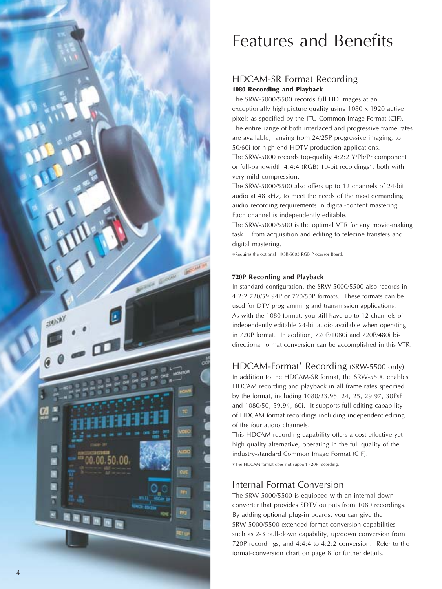

## Features and Benefits

#### HDCAM-SR Format Recording **1080 Recording and Playback**

The SRW-5000/5500 records full HD images at an exceptionally high picture quality using 1080 x 1920 active pixels as specified by the ITU Common Image Format (CIF). The entire range of both interlaced and progressive frame rates are available, ranging from 24/25P progressive imaging, to 50/60i for high-end HDTV production applications. The SRW-5000 records top-quality 4:2:2 Y/Pb/Pr component or full-bandwidth 4:4:4 (RGB) 10-bit recordings\*, both with very mild compression.

The SRW-5000/5500 also offers up to 12 channels of 24-bit audio at 48 kHz, to meet the needs of the most demanding audio recording requirements in digital-content mastering. Each channel is independently editable.

The SRW-5000/5500 is the optimal VTR for any movie-making task – from acquisition and editing to telecine transfers and digital mastering.

\*Requires the optional HKSR-5003 RGB Processor Board.

#### **720P Recording and Playback**

In standard configuration, the SRW-5000/5500 also records in 4:2:2 720/59.94P or 720/50P formats. These formats can be used for DTV programming and transmission applications. As with the 1080 format, you still have up to 12 channels of independently editable 24-bit audio available when operating in 720P format. In addition, 720P/1080i and 720P/480i bidirectional format conversion can be accomplished in this VTR.

### HDCAM-Format \* Recording (SRW-5500 only)

In addition to the HDCAM-SR format, the SRW-5500 enables HDCAM recording and playback in all frame rates specified by the format, including 1080/23.98, 24, 25, 29.97, 30PsF and 1080/50, 59.94, 60i. It supports full editing capability of HDCAM format recordings including independent editing of the four audio channels.

This HDCAM recording capability offers a cost-effective yet high quality alternative, operating in the full quality of the industry-standard Common Image Format (CIF). \*The HDCAM format does not support 720P recording.

#### Internal Format Conversion

The SRW-5000/5500 is equipped with an internal down converter that provides SDTV outputs from 1080 recordings. By adding optional plug-in boards, you can give the SRW-5000/5500 extended format-conversion capabilities such as 2-3 pull-down capability, up/down conversion from 720P recordings, and 4:4:4 to 4:2:2 conversion. Refer to the format-conversion chart on page 8 for further details.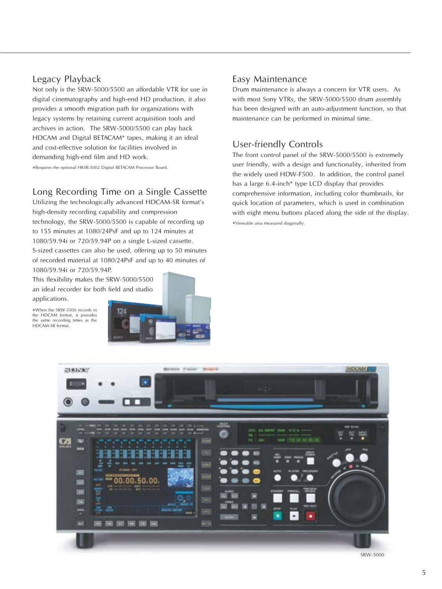#### Legacy Playback

Not only is the SRW-5000/5500 an affordable VTR for use in digital cinematography and high-end HD production, it also provides a smooth migration path for organizations with legacy systems by retaining current acquisition tools and archives in action. The SRW-5000/5500 can play back HDCAM and Digital BETACAM\* tapes, making it an ideal and cost-effective solution for facilities involved in demanding high-end film and HD work.

\*Requires the optional HKSR-5002 Digital BETACAM Processor Board.

#### Long Recording Time on a Single Cassette

Utilizing the technologically advanced HDCAM-SR format's high-density recording capability and compression technology, the SRW-5000/5500 is capable of recording up to 155 minutes at 1080/24PsF and up to 124 minutes at 1080/59.94i or 720/59.94P on a single L-sized cassette. S-sized cassettes can also be used, offering up to 50 minutes of recorded material at 1080/24PsF and up to 40 minutes of 1080/59.94i or 720/59.94P.

This flexibility makes the SRW-5000/5500 an ideal recorder for both field and studio applications.

\*When the SRW-5500 records in the HDCAM format, it provides the same recording times as the HDCAM-SR format.



#### Easy Maintenance

Drum maintenance is always a concern for VTR users. As with most Sony VTRs, the SRW-5000/5500 drum assembly has been designed with an auto-adjustment function, so that maintenance can be performed in minimal time.

#### User-friendly Controls

The front control panel of the SRW-5000/5500 is extremely user friendly, with a design and functionality, inherited from the widely used HDW-F500. In addition, the control panel has a large 6.4-inch\* type LCD display that provides comprehensive information, including color thumbnails, for quick location of parameters, which is used in combination with eight menu buttons placed along the side of the display. \*Viewable area measured diagonally.



SRW-5000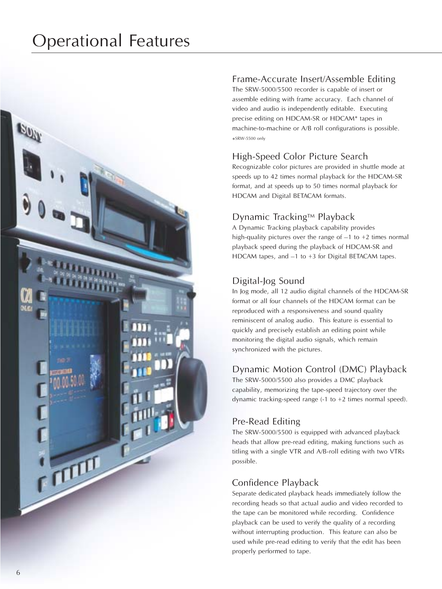

### Frame-Accurate Insert/Assemble Editing

The SRW-5000/5500 recorder is capable of insert or assemble editing with frame accuracy. Each channel of video and audio is independently editable. Executing precise editing on HDCAM-SR or HDCAM\* tapes in machine-to-machine or A/B roll configurations is possible. \*SRW-5500 only

## High-Speed Color Picture Search

Recognizable color pictures are provided in shuttle mode at speeds up to 42 times normal playback for the HDCAM-SR format, and at speeds up to 50 times normal playback for HDCAM and Digital BETACAM formats.

## Dynamic Tracking™ Playback

A Dynamic Tracking playback capability provides high-quality pictures over the range of  $-1$  to  $+2$  times normal playback speed during the playback of HDCAM-SR and HDCAM tapes, and –1 to +3 for Digital BETACAM tapes.

## Digital-Jog Sound

In Jog mode, all 12 audio digital channels of the HDCAM-SR format or all four channels of the HDCAM format can be reproduced with a responsiveness and sound quality reminiscent of analog audio. This feature is essential to quickly and precisely establish an editing point while monitoring the digital audio signals, which remain synchronized with the pictures.

### Dynamic Motion Control (DMC) Playback

The SRW-5000/5500 also provides a DMC playback capability, memorizing the tape-speed trajectory over the dynamic tracking-speed range (-1 to +2 times normal speed).

### Pre-Read Editing

The SRW-5000/5500 is equipped with advanced playback heads that allow pre-read editing, making functions such as titling with a single VTR and A/B-roll editing with two VTRs possible.

## Confidence Playback

Separate dedicated playback heads immediately follow the recording heads so that actual audio and video recorded to the tape can be monitored while recording. Confidence playback can be used to verify the quality of a recording without interrupting production. This feature can also be used while pre-read editing to verify that the edit has been properly performed to tape.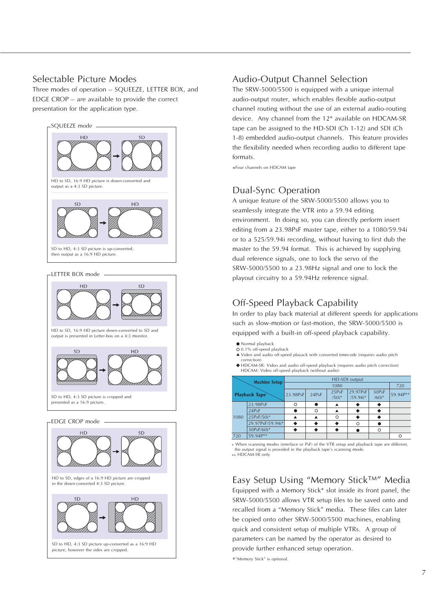#### Selectable Picture Modes

Three modes of operation – SQUEEZE, LETTER BOX, and EDGE CROP – are available to provide the correct presentation for the application type.





**SD HD** 

in the down-converted 4:3 SD picture.

SD to HD, 4:3 SD picture up-converted as a 16:9 HD picture, however the sides are cropped.

#### Audio-Output Channel Selection

The SRW-5000/5500 is equipped with a unique internal audio-output router, which enables flexible audio-output channel routing without the use of an external audio-routing device. Any channel from the 12\* available on HDCAM-SR tape can be assigned to the HD-SDI (Ch 1-12) and SDI (Ch 1-8) embedded audio-output channels. This feature provides the flexibility needed when recording audio to different tape formats.

\*Four channels on HDCAM tape

#### Dual-Sync Operation

A unique feature of the SRW-5000/5500 allows you to seamlessly integrate the VTR into a 59.94 editing environment. In doing so, you can directly perform insert editing from a 23.98PsF master tape, either to a 1080/59.94i or to a 525/59.94i recording, without having to first dub the master to the 59.94 format. This is achieved by supplying dual reference signals, one to lock the servo of the SRW-5000/5500 to a 23.98Hz signal and one to lock the playout circuitry to a 59.94Hz reference signal.

### Off-Speed Playback Capability

In order to play back material at different speeds for applications such as slow-motion or fast-motion, the SRW-5000/5500 is equipped with a built-in off-speed playback capability.

- Normal playback
- 0.1% off-speed playback
- Video and audio off-speed playack with converted timecode (requires audio pitch correction)
- HDCAM-SR: Video and audio off-speed playback (requires audio pitch correction) HDCAM: Video off-speed playback (without audio)

| <b>Machine Setup</b><br><b>Playback Tape</b> |                  | HD-SDI output |       |                  |                        |                  |          |  |
|----------------------------------------------|------------------|---------------|-------|------------------|------------------------|------------------|----------|--|
|                                              |                  |               | 720   |                  |                        |                  |          |  |
|                                              |                  | 23.98PsF      | 24PsF | 25PsF<br>$/50i*$ | 29.97PsF<br>$/59.94i*$ | 30PsF<br>$/60i*$ | 59.94P** |  |
| 1080                                         | 23.98PsF         | O             |       |                  |                        |                  |          |  |
|                                              | 24PsF            |               | ∩     |                  |                        |                  |          |  |
|                                              | 25PsF/50i*       |               |       | Ο                |                        |                  |          |  |
|                                              | 29.97PsF/59.94i* |               |       |                  | ∩                      |                  |          |  |
|                                              | 30PsF/60i*       |               |       |                  |                        | Ο                |          |  |
| 720                                          | 59.94P**         |               |       |                  |                        |                  |          |  |
|                                              |                  |               |       |                  |                        |                  |          |  |

\* When scanning modes (interlace or PsF) of the VTR setup and playback tape are different, the output signal is provided in the playback tape's scanning mode \*\* HDCAM-SR only

### Easy Setup Using "Memory Stick™" Media

Equipped with a Memory Stick\* slot inside its front panel, the SRW-5000/5500 allows VTR setup files to be saved onto and recalled from a "Memory Stick" media. These files can later be copied onto other SRW-5000/5500 machines, enabling quick and consistent setup of multiple VTRs. A group of parameters can be named by the operator as desired to provide further enhanced setup operation.

\*"Memory Stick" is optional.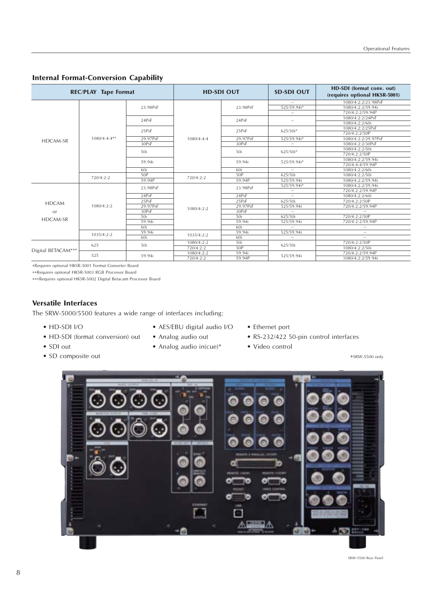#### **Internal Format-Conversion Capability**

| <b>REC/PLAY Tape Format</b> |                |          | <b>HD-SDI OUT</b> |          | <b>SD-SDI OUT</b> | HD-SDI (format conv. out)<br>(requires optional HKSR-5001) |
|-----------------------------|----------------|----------|-------------------|----------|-------------------|------------------------------------------------------------|
|                             | $1080/4:4:4**$ |          |                   | 23.98PsF |                   | 1080/4:2:2/23.98PsF                                        |
|                             |                | 23.98PsF |                   |          | 525/59.94i*       | 1080/4:2:2/59.94i                                          |
|                             |                |          |                   |          |                   | 720/4:2:2/59.94P                                           |
|                             |                | 24PsF    |                   | 24PsF    |                   | 1080/4:2:2/24PsF                                           |
|                             |                |          |                   |          |                   | 1080/4:2:2/60i                                             |
|                             |                | 25PsF    | 1080/4:4:4        | 25PsF    | 625/50i*          | 1080/4:2:2/25PsF                                           |
|                             |                |          |                   |          |                   | 720/4:2:2/50P                                              |
| HDCAM-SR                    |                | 29.97PsF |                   | 29.97PsF | 525/59.94i*       | 1080/4:2:2/29.97PsF                                        |
|                             |                | 30PsF    |                   | 30PsF    |                   | 1080/4:2:2/30PsF                                           |
|                             |                | 50i      |                   | 50i      | 625/50i*          | 1080/4:2:2/50i                                             |
|                             |                |          |                   |          |                   | 720/4:2:2/50P                                              |
|                             |                | 59.94i   |                   | 59.94i   | 525/59.94i*       | 1080/4:2:2/59.94i                                          |
|                             |                |          |                   |          |                   | 720/4:4:4/59.94P                                           |
|                             |                | 60i      |                   | 60i      | $\equiv$          | 1080/4:2:2/60i                                             |
|                             | 720/4:2:2      | 50P      | 720/4:2:2         | 50P      | 625/50i           | 1080/4:2:2/50i                                             |
|                             |                | 59.94P   |                   | 59.94P   | 525/59.94i        | 1080/4:2:2/59.94i                                          |
|                             | 1080/4:2:2     | 23.98PsF | 1080/4:2:2        | 23.98PsF | 525/59.94i*       | 1080/4:2:2/59.94i                                          |
|                             |                |          |                   |          |                   | 720/4:2:2/59.94P                                           |
|                             |                | 24PsF    |                   | 24PsF    | $\equiv$          | 1080/4:2:2/60i                                             |
| <b>HDCAM</b>                |                | 25PsF    |                   | 25PsF    | 625/50i           | 720/4:2:2/50P                                              |
|                             |                | 29.97PsF |                   | 29.97PsF | 525/59.94i        | 720/4:2:2/59.94P                                           |
| <b>or</b>                   |                | 30PsF    |                   | 30PsF    |                   |                                                            |
|                             |                | 50i      |                   | 50i      | 625/50i           | 720/4:2:2/50P                                              |
| <b>HDCAM-SR</b>             |                | 59.94i   |                   | 59.94i   | 525/59.94i        | 720/4:2:2/59.94P                                           |
|                             |                | 60i      |                   | 60i      |                   |                                                            |
|                             | 1035/4:2:2     | 59.94i   |                   | 59.94i   | 525/59.94i        |                                                            |
|                             |                | 60i      | 1035/4:2:2        | 60i      |                   |                                                            |
| Digital BETACAM***          | 625            | 50i      | 1080/4:2:2        | 50i      | 625/50i           | 720/4:2:2/50P                                              |
|                             |                |          | 720/4:2:2         | 50P      |                   | 1080/4:2:2/50i                                             |
|                             | 525            | 59.94i   | 1080/4:2:2        | 59.94i   |                   | 720/4:2:2/59.94P                                           |
|                             |                |          | 720/4:2:2         | 59.94P   | 525/59.94i        | 1080/4:2:2/59.94i                                          |

\*Requires optional HKSR-5001 Format Converter Board

\*\*Requires optional HKSR-5003 RGB Processor Board

\*\*\*Requires optional HKSR-5002 Digital Betacam Processor Board

#### **Versatile Interfaces**

The SRW-5000/5500 features a wide range of interfaces including:

- HD-SDI I/O
- HD-SDI (format conversion) out
- SDI out
- SD composite out
- AES/EBU digital audio I/O
- Analog audio out
- Analog audio in(cue)\*
- Ethernet port
- RS-232/422 50-pin control interfaces
- Video control

\*SRW-5500 only

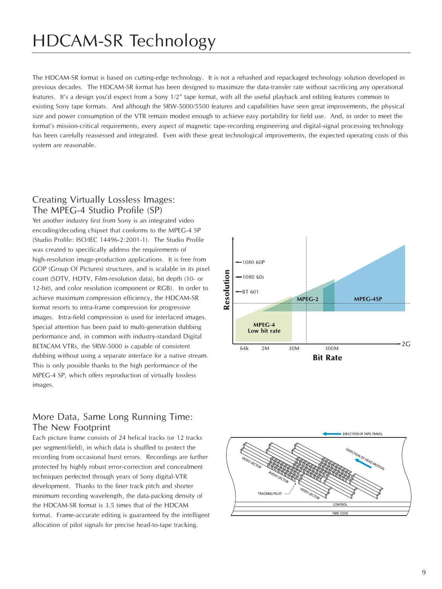## HDCAM-SR Technology

The HDCAM-SR format is based on cutting-edge technology. It is not a rehashed and repackaged technology solution developed in previous decades. The HDCAM-SR format has been designed to maximize the data-transfer rate without sacrificing any operational features. It's a design you'd expect from a Sony 1/2" tape format, with all the useful playback and editing features common to existing Sony tape formats. And although the SRW-5000/5500 features and capabilities have seen great improvements, the physical size and power consumption of the VTR remain modest enough to achieve easy portability for field use. And, in order to meet the format's mission-critical requirements, every aspect of magnetic tape-recording engineering and digital-signal processing technology has been carefully reassessed and integrated. Even with these great technological improvements, the expected operating costs of this system are reasonable.

### Creating Virtually Lossless Images: The MPEG-4 Studio Profile (SP)

Yet another industry first from Sony is an integrated video encoding/decoding chipset that conforms to the MPEG-4 SP (Studio Profile: ISO/IEC 14496-2:2001-1). The Studio Profile was created to specifically address the requirements of high-resolution image-production applications. It is free from GOP (Group Of Pictures) structures, and is scalable in its pixel count (SDTV, HDTV, Film-resolution data), bit depth (10- or 12-bit), and color resolution (component or RGB). In order to achieve maximum compression efficiency, the HDCAM-SR format resorts to intra-frame compression for progressive images. Intra-field compression is used for interlaced images. Special attention has been paid to multi-generation dubbing performance and, in common with industry-standard Digital BETACAM VTRs, the SRW-5000 is capable of consistent dubbing without using a separate interface for a native stream. This is only possible thanks to the high performance of the MPEG-4 SP, which offers reproduction of virtually lossless images.

### More Data, Same Long Running Time: The New Footprint

Each picture frame consists of 24 helical tracks (or 12 tracks per segment/field), in which data is shuffled to protect the recording from occasional burst errors. Recordings are further protected by highly robust error-correction and concealment techniques perfected through years of Sony digital-VTR development. Thanks to the finer track pitch and shorter minimum recording wavelength, the data-packing density of the HDCAM-SR format is 3.5 times that of the HDCAM format. Frame-accurate editing is guaranteed by the intelligent allocation of pilot signals for precise head-to-tape tracking.



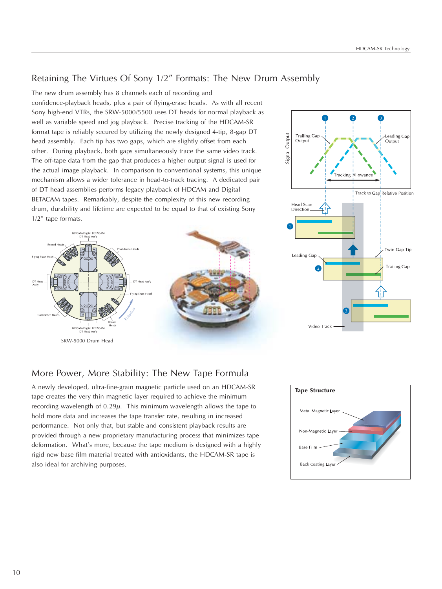### Retaining The Virtues Of Sony 1/2" Formats: The New Drum Assembly

The new drum assembly has 8 channels each of recording and confidence-playback heads, plus a pair of flying-erase heads. As with all recent Sony high-end VTRs, the SRW-5000/5500 uses DT heads for normal playback as well as variable speed and jog playback. Precise tracking of the HDCAM-SR format tape is reliably secured by utilizing the newly designed 4-tip, 8-gap DT head assembly. Each tip has two gaps, which are slightly offset from each other. During playback, both gaps simultaneously trace the same video track. The off-tape data from the gap that produces a higher output signal is used for the actual image playback. In comparison to conventional systems, this unique mechanism allows a wider tolerance in head-to-track tracing. A dedicated pair of DT head assemblies performs legacy playback of HDCAM and Digital BETACAM tapes. Remarkably, despite the complexity of this new recording drum, durability and lifetime are expected to be equal to that of existing Sony 1/2" tape formats.





## More Power, More Stability: The New Tape Formula

A newly developed, ultra-fine-grain magnetic particle used on an HDCAM-SR tape creates the very thin magnetic layer required to achieve the minimum recording wavelength of  $0.29\mu$ . This minimum wavelength allows the tape to hold more data and increases the tape transfer rate, resulting in increased performance. Not only that, but stable and consistent playback results are provided through a new proprietary manufacturing process that minimizes tape deformation. What's more, because the tape medium is designed with a highly rigid new base film material treated with antioxidants, the HDCAM-SR tape is also ideal for archiving purposes.

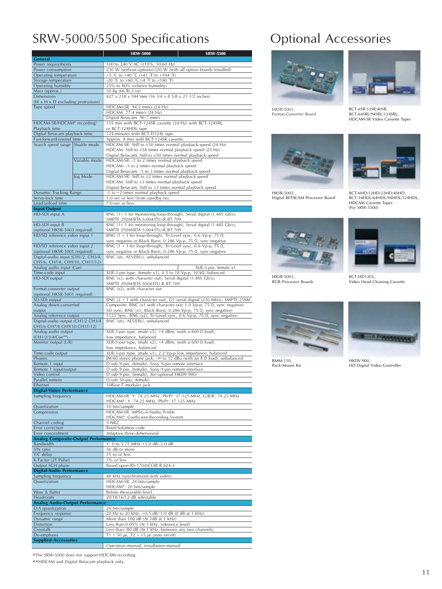## SRW-5000/5500 Specifications

|                                                                |               | <b>SRW-5000</b>                                                                                                                        | <b>SRW-5500</b>                                                          |  |  |  |
|----------------------------------------------------------------|---------------|----------------------------------------------------------------------------------------------------------------------------------------|--------------------------------------------------------------------------|--|--|--|
| <b>General</b>                                                 |               |                                                                                                                                        |                                                                          |  |  |  |
| Power requirements<br>Power consumption                        |               | 100 to 240 V AC (±10%, 50/60 Hz)<br>230 W (without options)/320 W (with all option boards installed)                                   |                                                                          |  |  |  |
| Operating temperature                                          |               | +5 °C to +40 °C (+41 °F to +104 °F)                                                                                                    |                                                                          |  |  |  |
| Storage temperature                                            |               | -20 °C to +60 °C (-4 °F to +140 °F)                                                                                                    |                                                                          |  |  |  |
| Operating humidity                                             |               | 25% to 80% (relative humidity)                                                                                                         |                                                                          |  |  |  |
| Mass (approx.)                                                 |               | 30 kg (66 lb 2 oz)                                                                                                                     |                                                                          |  |  |  |
| <b>Dimensions</b>                                              |               | 427 x 218 x 544 mm (16 3/4 x 8 5/8 x 21 1/2 inches)                                                                                    |                                                                          |  |  |  |
| $(W \times H \times D)$ excluding protrusions)                 |               |                                                                                                                                        |                                                                          |  |  |  |
| Tape speed                                                     |               | HDCAM-SR: 94.2 mm/s (24 Hz)                                                                                                            |                                                                          |  |  |  |
|                                                                |               | HDCAM: 77.4 mm/s (24 Hz)<br>Digital Betacam: 96.7 mm/s                                                                                 |                                                                          |  |  |  |
| HDCAM-SR/HDCAM* recording/                                     |               | 155 min with BCT-124SR cassette (24 Hz) with BCT-124SRL                                                                                |                                                                          |  |  |  |
| Playback time                                                  |               | or BCT-124HDL tape                                                                                                                     |                                                                          |  |  |  |
| Digital Betacam playback time                                  |               | 124 minutes with BCT-D124L tape                                                                                                        |                                                                          |  |  |  |
| Fast-forward/rewind time                                       |               | Approx. 4 min with BCT-124SR cassette                                                                                                  |                                                                          |  |  |  |
| Search speed range Shuttle mode                                |               | HDCAM-SR: Still to ±50 times normal playback speed (24 Hz)                                                                             |                                                                          |  |  |  |
|                                                                |               | HDCAM: Still to ±58 times normal playback speed (25 Hz)                                                                                |                                                                          |  |  |  |
|                                                                | Variable mode | Digital Betacam: Still to ±50 times normal playback speed<br>HDCAM-SR: -1 to 2 times normal playback speed                             |                                                                          |  |  |  |
|                                                                |               | HDCAM: -1 to 2 times normal playback speed                                                                                             |                                                                          |  |  |  |
|                                                                |               | Digital Betacam: -1 to 3 times normal playback speed                                                                                   |                                                                          |  |  |  |
|                                                                | Jog Mode      | HDCAM-SR: Still to ±2 times normal playback speed                                                                                      |                                                                          |  |  |  |
|                                                                |               | HDCAM: Still to $\pm 3$ times normal playback speed                                                                                    |                                                                          |  |  |  |
|                                                                |               | Digital Betacam: Still to ±3 times normal playback speed                                                                               |                                                                          |  |  |  |
| Dynamic Tracking Range                                         |               | -1 to +2 times normal playback speed                                                                                                   |                                                                          |  |  |  |
| Servo-lock time<br>Load/unload time                            |               | 1.0 sec or less (from standby on)                                                                                                      |                                                                          |  |  |  |
| Input/Output                                                   |               | 7.0 sec or less                                                                                                                        |                                                                          |  |  |  |
| HD-SDI input A                                                 |               | BNC (1+ 1 for monitoring loop-through), Serial digital (1.485 Gb/s),                                                                   |                                                                          |  |  |  |
|                                                                |               | SMPTE 292M/BTA S-004/ITU-R.BT 709                                                                                                      |                                                                          |  |  |  |
| HD-SDI input B                                                 |               | BNC (1+ 1 for monitoring loop-through), Serial digital (1.485 Gb/s),                                                                   |                                                                          |  |  |  |
| (optional HKSR-5003 required)                                  |               | SMPTE 292M/BTA S-004/ITU-R.BT 709                                                                                                      |                                                                          |  |  |  |
| HD/SD reference video input 1                                  |               | BNC (1 + 1 for loop-through), Tri Level sync, 0.6 Vp-p, 75 $\Omega$ ,                                                                  |                                                                          |  |  |  |
| HD/SD reference video input 2                                  |               | sync negative or Black Burst, 0.286 Vp-p, 75 Ω, sync negative<br>BNC (1 + 1 for loop-through), Tri Level sync, 0.6 Vp-p, 75 $\Omega$ , |                                                                          |  |  |  |
| (optional HKSR-5001 required)                                  |               | sync negative or Black Burst, 0.286 Vp-p, 75 Ω, sync negative                                                                          |                                                                          |  |  |  |
| Digital-audio input (CH1/2, CH3/4,                             |               | BNC (x6, AES/EBU), unbalanced                                                                                                          |                                                                          |  |  |  |
| CH5/6, CH7/8, CH9/10, CH11/12)                                 |               |                                                                                                                                        |                                                                          |  |  |  |
| Analog audio input (Cue)                                       |               |                                                                                                                                        | XLR-3-pin, female x1                                                     |  |  |  |
| Time-code input                                                |               | XLR-3-pin type, (female x1), 0.5 to 18 Vp-p, 10 kΩ, balanced                                                                           |                                                                          |  |  |  |
| HD-SDI output                                                  |               | BNC (x3, with character out), Serial digital (1.485 Gb/s),                                                                             |                                                                          |  |  |  |
| Format-converter output                                        |               | SMPTE 292M/BTA S004/ITU-R.BT 709<br>BNC (x2), with character out                                                                       |                                                                          |  |  |  |
| (optional HKSR-5001 required)                                  |               |                                                                                                                                        |                                                                          |  |  |  |
| SD-SDI output                                                  |               |                                                                                                                                        | BNC (2 + 1 with character out), D1 serial digital (270 Mb/s), SMPTE 259M |  |  |  |
| Analog down-converted                                          |               | Composite: BNC $(x1$ with character out) 1.0 Vp-p, 75 $\Omega$ , sync negative)                                                        |                                                                          |  |  |  |
| output                                                         |               | SD sync: BNC (x1, Black Burst, 0.286 Vp-p, 75 Q, sync negative)                                                                        |                                                                          |  |  |  |
| Analog reference output                                        |               | 1125 Sync: BNC (x2), Tri Level sync, 0.6 Vp-p, 75 Ω, sync negative                                                                     |                                                                          |  |  |  |
| Digital-audio output (CH1/2 CH3/4                              |               | BNC (x6), AES/EBU, unbalanced                                                                                                          |                                                                          |  |  |  |
| CH5/6 CH7/8 CH9/10 CH11/12)<br>Analog-audio output             |               | XLR-3-pin type, (male x5), +4 dBm, (with a 600 $\Omega$ load),                                                                         |                                                                          |  |  |  |
| (CH1/2/3/4/Cue**)                                              |               | low impedance, balanced                                                                                                                |                                                                          |  |  |  |
| Monitor output (L/R)                                           |               | XLR-3-pin type, (male x2), +4 dBm, (with a 600 $\Omega$ load),                                                                         |                                                                          |  |  |  |
|                                                                |               | low impedance, balanced                                                                                                                |                                                                          |  |  |  |
| Time-code output                                               |               | XLR-3-pin type, (male x1), 2.2 Vp-p low impedance, balanced                                                                            |                                                                          |  |  |  |
| Phones                                                         |               | JM-60 stereo phone jack, - $\infty$ to 12 dBu (with an 8 $\Omega$ load), unbalanced                                                    |                                                                          |  |  |  |
| Remote 1 input<br>Remote 1 input/output                        |               | D-sub 9-pin, (female), Sony 9-pin remote interface                                                                                     |                                                                          |  |  |  |
| Video control                                                  |               | D-sub 9-pin, (female), Sony 9-pin remote interface<br>D-sub 9-pin, (female), (for optional HKDV-900)                                   |                                                                          |  |  |  |
| Parallel remote                                                |               | D-sub 50-pin, (female)                                                                                                                 |                                                                          |  |  |  |
| Ethernet                                                       |               | <u>10Base-T modular jack</u>                                                                                                           |                                                                          |  |  |  |
| <b>Digital-Video Performance</b>                               |               |                                                                                                                                        |                                                                          |  |  |  |
| Sampling frequency                                             |               | HDCAM-SR: Y: 74.25 MHz, Pb/Pr: 37.125 MHz, G/B/R: 74.25 MHz                                                                            |                                                                          |  |  |  |
| Quantization                                                   |               | HDCAM*: Y: 74.25 MHz, Pb/Pr: 37.125 MHz<br>10 bits/sample                                                                              |                                                                          |  |  |  |
| Compression                                                    |               | HDCAM-SR: MPEG-4 Studio Profile                                                                                                        |                                                                          |  |  |  |
|                                                                |               | HDCAM*: Coefficient Recording System                                                                                                   |                                                                          |  |  |  |
| Channel coding                                                 |               | S-NRZ                                                                                                                                  |                                                                          |  |  |  |
| Error correction                                               |               | Reed-Solomon code                                                                                                                      |                                                                          |  |  |  |
| Error concealment                                              |               | Adaptive three-dimensional                                                                                                             |                                                                          |  |  |  |
| <b>Analog Composite-Output Performance</b><br><b>Bandwidth</b> |               | Y: 0 to 5.75 MHz +5.0 dB/-3.0 dB                                                                                                       |                                                                          |  |  |  |
| S/N ratio                                                      |               | 56 dB or more                                                                                                                          |                                                                          |  |  |  |
| Y/C delay                                                      |               | 15 ns or less                                                                                                                          |                                                                          |  |  |  |
| K Factor (2T Pulse)                                            |               | 1% or less                                                                                                                             |                                                                          |  |  |  |
| Output SCH phase                                               |               | Based upon RS-170A/CCIR R.624-3                                                                                                        |                                                                          |  |  |  |
| <b>Digital-Audio Performance</b>                               |               |                                                                                                                                        |                                                                          |  |  |  |
| Sampling frequency<br>Quantization                             |               | 48 kHz (synchronized with video)<br>HDCAM-SR: 24 bits/sample                                                                           |                                                                          |  |  |  |
|                                                                |               | HDCAM*: 20 bits/sample                                                                                                                 |                                                                          |  |  |  |
| Wow & flutter                                                  |               | Below measurable level                                                                                                                 |                                                                          |  |  |  |
| Headroom                                                       |               | 20/18/16/12 dB selectable                                                                                                              |                                                                          |  |  |  |
| <b>Analog Audio-Output Performance</b>                         |               |                                                                                                                                        |                                                                          |  |  |  |
| D/A quantization                                               |               | 24 bits/sample                                                                                                                         |                                                                          |  |  |  |
| Frequency response                                             |               | 20 Hz to 20 kHz, +0.5 dB/-1.0 dB (0 dB at 1 kHz)                                                                                       |                                                                          |  |  |  |
| Dynamic range                                                  |               | More than 100 dB (At 1dB at 1 kHz)                                                                                                     |                                                                          |  |  |  |
| <b>Distortion</b><br>Crosstalk                                 |               | Less than 0.05% (At 1 kHz, reference level)<br>Less than -80 dB (At 1 kHz, between any two channels)                                   |                                                                          |  |  |  |
| De-emphasis                                                    |               | T1 = 50 $\mu$ s, T2 = 15 $\mu$ s (auto on/off)                                                                                         |                                                                          |  |  |  |
| <b>Supplied Accessories</b>                                    |               |                                                                                                                                        |                                                                          |  |  |  |
|                                                                |               | Operation manual, installation manual                                                                                                  |                                                                          |  |  |  |

Optional Accessories



HKSR-5001, Format-Converter Board



BCT-6SR/33SR/40SR, BCT-64SRL/94SRL/124SRL, HDCAM-SR Video Cassette Tapes



HKSR-5002, Digital BETACAM Processor Board





BCT-HD12CL, Video Head Cleaning Cassette



RMM-110, Rack-Mount Kit

HKSR-5003, RGB Processor Boards



HKDV-900, HD Digital Video Controller

\*The SRW-5000 does not support HDCAM recording.

\*\*HDCAM and Digital Betacam playback only.